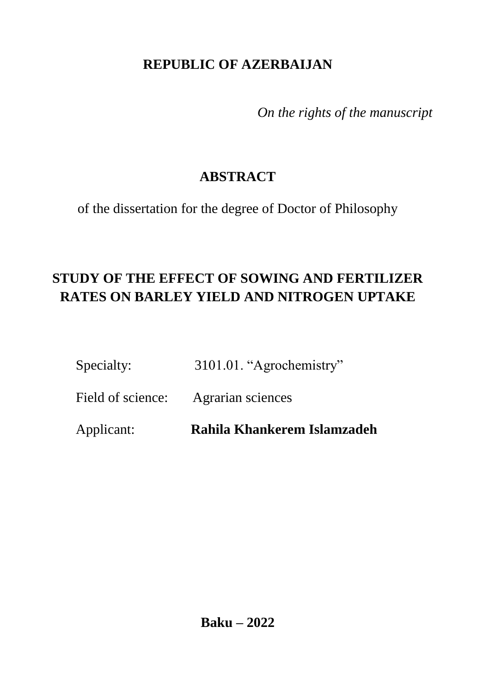### **REPUBLIC OF AZERBAIJAN**

*On the rights of the manuscript*

## **ABSTRACT**

of the dissertation for the degree of Doctor of Philosophy

# **STUDY OF THE EFFECT OF SOWING AND FERTILIZER RATES ON BARLEY YIELD AND NITROGEN UPTAKE**

|  | Specialty: | 3101.01. "Agrochemistry" |
|--|------------|--------------------------|
|--|------------|--------------------------|

Field of science: Agrarian sciences

Applicant: **Rahila Khankerem Islamzadeh**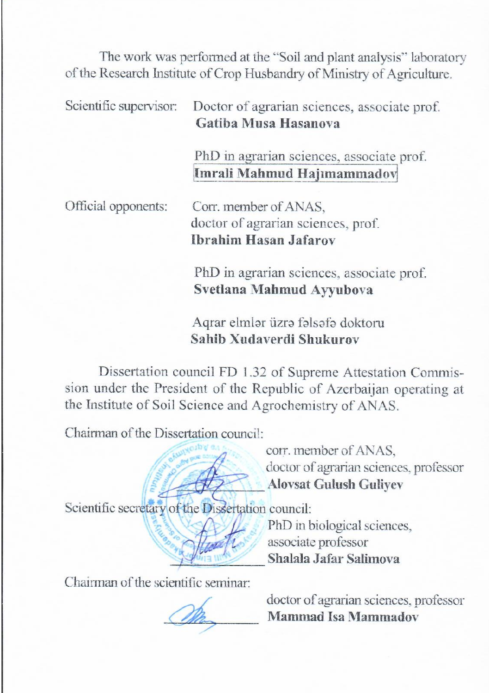The work was performed at the "Soil and plant analysis" laboratory of the Research Institute of Crop Husbandry of Ministry of Agriculture.

Scientific supervisor: Doctor of agrarian sciences, associate prof. **Gatiba Musa Hasanova** 

> PhD in agrarian sciences, associate prof. **Imrali Mahmud Hajımammadov**

Official opponents: Corr. member of ANAS, doctor of agrarian sciences, prof. **Ibrahim Hasan Jafarov** 

> PhD in agrarian sciences, associate prof. **Svetlana Mahmud Ayyubova**

Aqrar elmlər üzrə fəlsəfə doktoru **Sahib Xudaverdi Shukurov** 

Dissertation council FD 1.32 of Supreme Attestation Commission under the President of the Republic of Azerbaijan operating at the Institute of Soil Science and Agrochemistry of ANAS.

Chairman of the Dissertation council:

corr. member of ANAS, doctor of agrarian sciences, professor  **\_\_\_\_\_\_\_\_\_\_\_\_\_ Alovsat Gulush Guliyev** 

Scientific secretary of the Dissertation council:

PhD in biological sciences, associate professor  **\_\_\_\_\_\_\_\_\_\_\_\_\_\_ Shalala Jafar Salimova** 

Chairman of the scientific seminar:

doctor of agrarian sciences, professor **Mammad Isa Mammadov**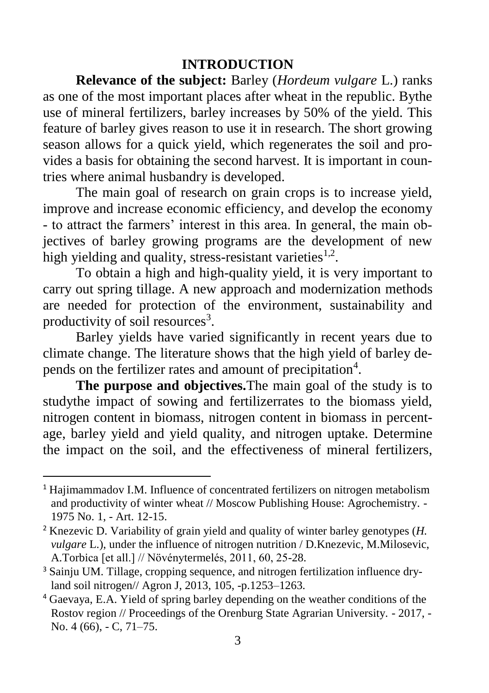### **INTRODUCTION**

**Relevance of the subject:** Barley (*Hordeum vulgare* L.) ranks as one of the most important places after wheat in the republic. Bythe use of mineral fertilizers, barley increases by 50% of the yield. This feature of barley gives reason to use it in research. The short growing season allows for a quick yield, which regenerates the soil and provides a basis for obtaining the second harvest. It is important in countries where animal husbandry is developed.

The main goal of research on grain crops is to increase yield, improve and increase economic efficiency, and develop the economy - to attract the farmers' interest in this area. In general, the main objectives of barley growing programs are the development of new high yielding and quality, stress-resistant varieties<sup>1,2</sup>.

To obtain a high and high-quality yield, it is very important to carry out spring tillage. A new approach and modernization methods are needed for protection of the environment, sustainability and productivity of soil resources<sup>3</sup>.

Barley yields have varied significantly in recent years due to climate change. The literature shows that the high yield of barley depends on the fertilizer rates and amount of precipitation<sup>4</sup>.

**The purpose and objectives.**The main goal of the study is to studythe impact of sowing and fertilizerrates to the biomass yield, nitrogen content in biomass, nitrogen content in biomass in percentage, barley yield and yield quality, and nitrogen uptake. Determine the impact on the soil, and the effectiveness of mineral fertilizers,

 $\overline{a}$ 

<sup>&</sup>lt;sup>1</sup> Hajimammadov I.M. Influence of concentrated fertilizers on nitrogen metabolism and productivity of winter wheat // Moscow Publishing House: Agrochemistry. - 1975 No. 1, - Art. 12-15.

<sup>2</sup> Knezevic D. Variability of grain yield and quality of winter barley genotypes (*H. vulgare* L.), under the influence of nitrogen nutrition / D.Knezevic, M.Milosevic, A.Torbica [et all.] // Növénytermelés, 2011, 60, 25-28.

<sup>3</sup> Sainju UM. Tillage, cropping sequence, and nitrogen fertilization influence dryland soil nitrogen// Agron J, 2013, 105, -p.1253–1263.

<sup>4</sup> Gaevaya, E.A. Yield of spring barley depending on the weather conditions of the Rostov region // Proceedings of the Orenburg State Agrarian University. - 2017, - No. 4 (66), - C, 71–75.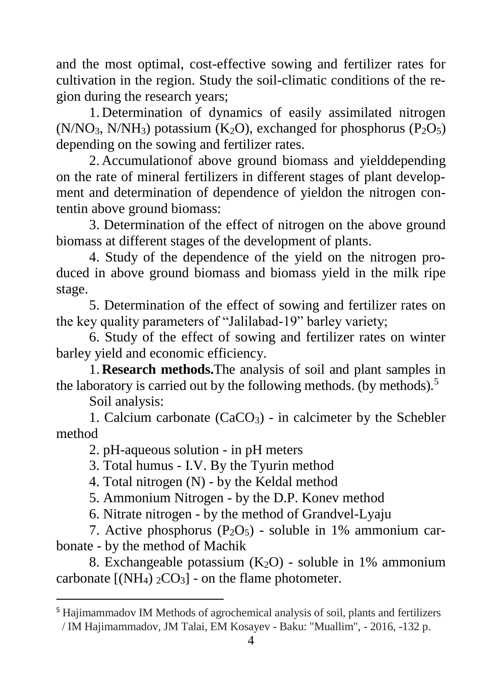and the most optimal, cost-effective sowing and fertilizer rates for cultivation in the region. Study the soil-climatic conditions of the region during the research years;

1. Determination of dynamics of easily assimilated nitrogen  $(N/NO<sub>3</sub>, N/NH<sub>3</sub>)$  potassium  $(K<sub>2</sub>O)$ , exchanged for phosphorus  $(P<sub>2</sub>O<sub>5</sub>)$ depending on the sowing and fertilizer rates.

2. Accumulationof above ground biomass and yielddepending on the rate of mineral fertilizers in different stages of plant development and determination of dependence of yieldon the nitrogen contentin above ground biomass:

3. Determination of the effect of nitrogen on the above ground biomass at different stages of the development of plants.

4. Study of the dependence of the yield on the nitrogen produced in above ground biomass and biomass yield in the milk ripe stage.

5. Determination of the effect of sowing and fertilizer rates on the key quality parameters of "Jalilabad-19" barley variety;

6. Study of the effect of sowing and fertilizer rates on winter barley yield and economic efficiency.

1. **Research methods.**The analysis of soil and plant samples in the laboratory is carried out by the following methods. (by methods).<sup>5</sup>

Soil analysis:

 $\overline{a}$ 

1. Calcium carbonate  $(CaCO<sub>3</sub>)$  - in calcimeter by the Schebler method

2. pH-aqueous solution - in pH meters

3. Total humus - I.V. By the Tyurin method

4. Total nitrogen (N) - by the Keldal method

5. Ammonium Nitrogen - by the D.P. Konev method

6. Nitrate nitrogen - by the method of Grandvel-Lyaju

7. Active phosphorus  $(P_2O_5)$  - soluble in 1% ammonium carbonate - by the method of Machik

8. Exchangeable potassium  $(K_2O)$  - soluble in 1% ammonium carbonate  $[(NH_4) \, {}_2CO_3]$  - on the flame photometer.

<sup>&</sup>lt;sup>5</sup> Hajimammadov IM Methods of agrochemical analysis of soil, plants and fertilizers / IM Hajimammadov, JM Talai, EM Kosayev - Baku: "Muallim", - 2016, -132 p.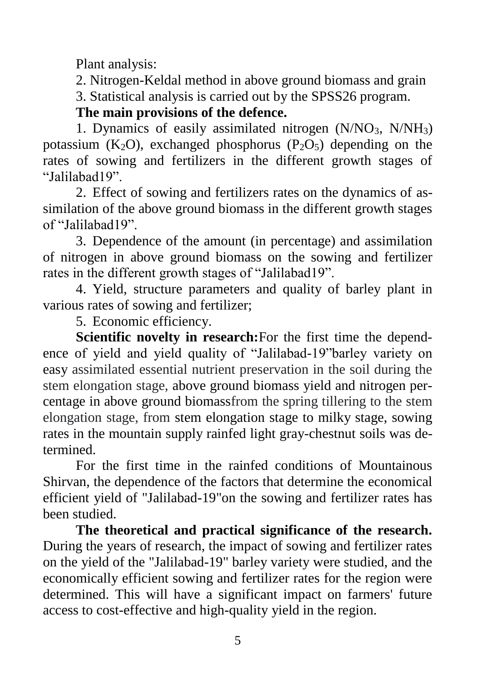Plant analysis:

2. Nitrogen-Keldal method in above ground biomass and grain 3. Statistical analysis is carried out by the SPSS26 program.

**The main provisions of the defence.**

1. Dynamics of easily assimilated nitrogen  $(N/NO<sub>3</sub>, N/NH<sub>3</sub>)$ potassium  $(K_2O)$ , exchanged phosphorus  $(P_2O_5)$  depending on the rates of sowing and fertilizers in the different growth stages of "Jalilabad19".

2. Effect of sowing and fertilizers rates on the dynamics of assimilation of the above ground biomass in the different growth stages of "Jalilabad19".

3. Dependence of the amount (in percentage) and assimilation of nitrogen in above ground biomass on the sowing and fertilizer rates in the different growth stages of "Jalilabad19".

4. Yield, structure parameters and quality of barley plant in various rates of sowing and fertilizer;

5. Economic efficiency.

**Scientific novelty in research:**For the first time the dependence of yield and yield quality of "Jalilabad-19"barley variety on easy assimilated essential nutrient preservation in the soil during the stem elongation stage, above ground biomass yield and nitrogen percentage in above ground biomassfrom the spring tillering to the stem elongation stage, from stem elongation stage to milky stage, sowing rates in the mountain supply rainfed light gray-chestnut soils was determined.

For the first time in the rainfed conditions of Mountainous Shirvan, the dependence of the factors that determine the economical efficient yield of "Jalilabad-19"on the sowing and fertilizer rates has been studied.

**The theoretical and practical significance of the research.** During the years of research, the impact of sowing and fertilizer rates on the yield of the "Jalilabad-19" barley variety were studied, and the economically efficient sowing and fertilizer rates for the region were determined. This will have a significant impact on farmers' future access to cost-effective and high-quality yield in the region.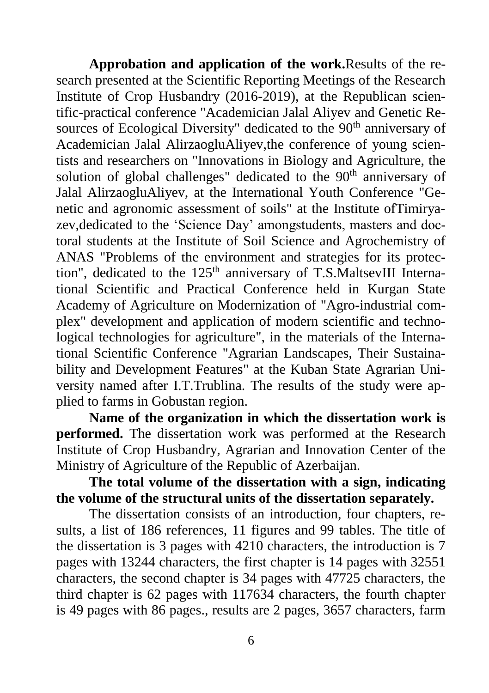**Approbation and application of the work.**Results of the research presented at the Scientific Reporting Meetings of the Research Institute of Crop Husbandry (2016-2019), at the Republican scientific-practical conference "Academician Jalal Aliyev and Genetic Resources of Ecological Diversity" dedicated to the 90<sup>th</sup> anniversary of Academician Jalal AlirzaogluAliyev,the conference of young scientists and researchers on "Innovations in Biology and Agriculture, the solution of global challenges" dedicated to the 90<sup>th</sup> anniversary of Jalal AlirzaogluAliyev, at the International Youth Conference "Genetic and agronomic assessment of soils" at the Institute ofTimiryazev,dedicated to the 'Science Day' amongstudents, masters and doctoral students at the Institute of Soil Science and Agrochemistry of ANAS "Problems of the environment and strategies for its protection", dedicated to the  $125<sup>th</sup>$  anniversary of T.S.MaltsevIII International Scientific and Practical Conference held in Kurgan State Academy of Agriculture on Modernization of "Agro-industrial complex" development and application of modern scientific and technological technologies for agriculture", in the materials of the International Scientific Conference "Agrarian Landscapes, Their Sustainability and Development Features" at the Kuban State Agrarian University named after I.T.Trublina. The results of the study were applied to farms in Gobustan region.

**Name of the organization in which the dissertation work is performed.** The dissertation work was performed at the Research Institute of Crop Husbandry, Agrarian and Innovation Center of the Ministry of Agriculture of the Republic of Azerbaijan.

**The total volume of the dissertation with a sign, indicating the volume of the structural units of the dissertation separately.**

The dissertation consists of an introduction, four chapters, results, a list of 186 references, 11 figures and 99 tables. The title of the dissertation is 3 pages with 4210 characters, the introduction is 7 pages with 13244 characters, the first chapter is 14 pages with 32551 characters, the second chapter is 34 pages with 47725 characters, the third chapter is 62 pages with 117634 characters, the fourth chapter is 49 pages with 86 pages., results are 2 pages, 3657 characters, farm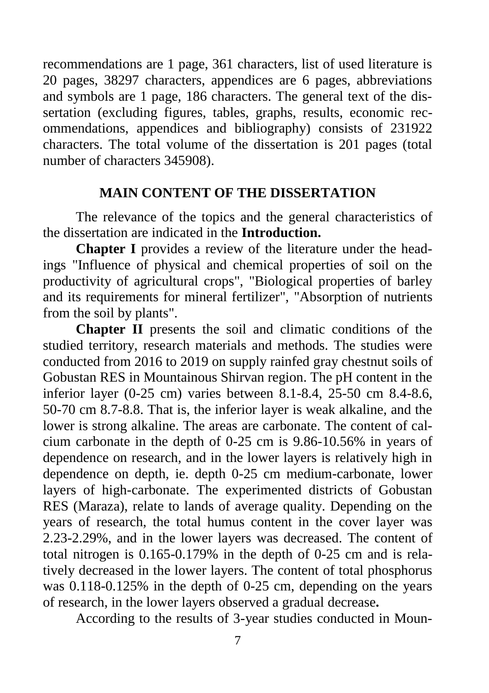recommendations are 1 page, 361 characters, list of used literature is 20 pages, 38297 characters, appendices are 6 pages, abbreviations and symbols are 1 page, 186 characters. The general text of the dissertation (excluding figures, tables, graphs, results, economic recommendations, appendices and bibliography) consists of 231922 characters. The total volume of the dissertation is 201 pages (total number of characters 345908).

### **MAIN CONTENT OF THE DISSERTATION**

The relevance of the topics and the general characteristics of the dissertation are indicated in the **Introduction.**

**Chapter I** provides a review of the literature under the headings "Influence of physical and chemical properties of soil on the productivity of agricultural crops", "Biological properties of barley and its requirements for mineral fertilizer", "Absorption of nutrients from the soil by plants".

**Chapter II** presents the soil and climatic conditions of the studied territory, research materials and methods. The studies were conducted from 2016 to 2019 on supply rainfed gray chestnut soils of Gobustan RES in Mountainous Shirvan region. The pH content in the inferior layer (0-25 cm) varies between 8.1-8.4, 25-50 cm 8.4-8.6, 50-70 cm 8.7-8.8. That is, the inferior layer is weak alkaline, and the lower is strong alkaline. The areas are carbonate. The content of calcium carbonate in the depth of 0-25 cm is 9.86-10.56% in years of dependence on research, and in the lower layers is relatively high in dependence on depth, ie. depth 0-25 cm medium-carbonate, lower layers of high-carbonate. The experimented districts of Gobustan RES (Maraza), relate to lands of average quality. Depending on the years of research, the total humus content in the cover layer was 2.23-2.29%, and in the lower layers was decreased. The content of total nitrogen is 0.165-0.179% in the depth of 0-25 cm and is relatively decreased in the lower layers. The content of total phosphorus was 0.118-0.125% in the depth of 0-25 cm, depending on the years of research, in the lower layers observed a gradual decrease**.**

According to the results of 3-year studies conducted in Moun-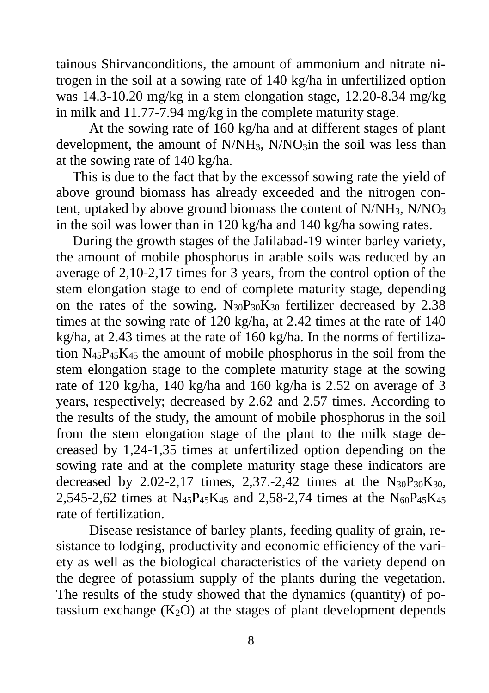tainous Shirvanconditions, the amount of ammonium and nitrate nitrogen in the soil at a sowing rate of 140 kg/ha in unfertilized option was 14.3-10.20 mg/kg in a stem elongation stage, 12.20-8.34 mg/kg in milk and 11.77-7.94 mg/kg in the complete maturity stage.

At the sowing rate of 160 kg/ha and at different stages of plant development, the amount of  $N/NH_3$ ,  $N/NO_3$  in the soil was less than at the sowing rate of 140 kg/ha.

This is due to the fact that by the excessof sowing rate the yield of above ground biomass has already exceeded and the nitrogen content, uptaked by above ground biomass the content of N/NH3, N/NO<sup>3</sup> in the soil was lower than in 120 kg/ha and 140 kg/ha sowing rates.

During the growth stages of the Jalilabad-19 winter barley variety, the amount of mobile phosphorus in arable soils was reduced by an average of 2,10-2,17 times for 3 years, from the control option of the stem elongation stage to end of complete maturity stage, depending on the rates of the sowing.  $N_{30}P_{30}K_{30}$  fertilizer decreased by 2.38 times at the sowing rate of 120 kg/ha, at 2.42 times at the rate of 140 kg/ha, at 2.43 times at the rate of 160 kg/ha. In the norms of fertilization N45P45K<sup>45</sup> the amount of mobile phosphorus in the soil from the stem elongation stage to the complete maturity stage at the sowing rate of 120 kg/ha, 140 kg/ha and 160 kg/ha is 2.52 on average of 3 years, respectively; decreased by 2.62 and 2.57 times. According to the results of the study, the amount of mobile phosphorus in the soil from the stem elongation stage of the plant to the milk stage decreased by 1,24-1,35 times at unfertilized option depending on the sowing rate and at the complete maturity stage these indicators are decreased by 2.02-2,17 times, 2,37.-2,42 times at the  $N_{30}P_{30}K_{30}$ , 2,545-2,62 times at  $N_{45}P_{45}K_{45}$  and 2,58-2,74 times at the  $N_{60}P_{45}K_{45}$ rate of fertilization.

Disease resistance of barley plants, feeding quality of grain, resistance to lodging, productivity and economic efficiency of the variety as well as the biological characteristics of the variety depend on the degree of potassium supply of the plants during the vegetation. The results of the study showed that the dynamics (quantity) of potassium exchange  $(K_2O)$  at the stages of plant development depends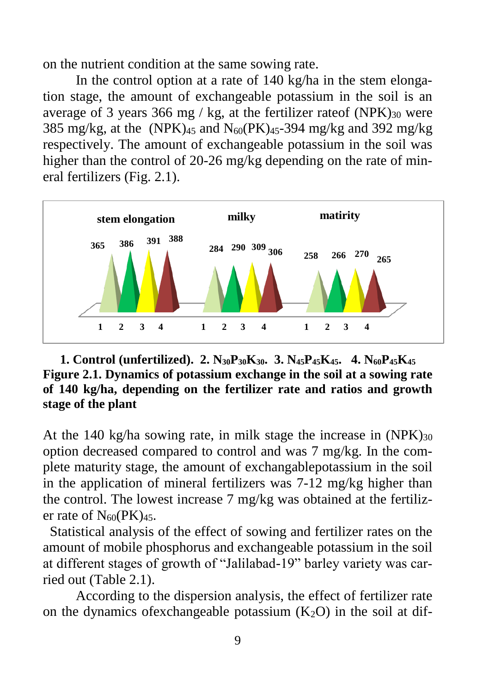on the nutrient condition at the same sowing rate.

In the control option at a rate of 140 kg/ha in the stem elongation stage, the amount of exchangeable potassium in the soil is an average of 3 years 366 mg / kg, at the fertilizer rateof (NPK) $_{30}$  were 385 mg/kg, at the (NPK) $_{45}$  and N<sub>60</sub>(PK) $_{45}$ -394 mg/kg and 392 mg/kg respectively. The amount of exchangeable potassium in the soil was higher than the control of 20-26 mg/kg depending on the rate of mineral fertilizers (Fig. 2.1).



**1. Control (unfertilized). 2. N30P30K30. 3. N45P45K45. 4. N60P45K<sup>45</sup> Figure 2.1. Dynamics of potassium exchange in the soil at a sowing rate of 140 kg/ha, depending on the fertilizer rate and ratios and growth stage of the plant**

At the 140 kg/ha sowing rate, in milk stage the increase in  $(NPK)_{30}$ option decreased compared to control and was 7 mg/kg. In the complete maturity stage, the amount of exchangablepotassium in the soil in the application of mineral fertilizers was 7-12 mg/kg higher than the control. The lowest increase 7 mg/kg was obtained at the fertilizer rate of  $N_{60}(PK)_{45}$ .

 Statistical analysis of the effect of sowing and fertilizer rates on the amount of mobile phosphorus and exchangeable potassium in the soil at different stages of growth of "Jalilabad-19" barley variety was carried out (Table 2.1).

According to the dispersion analysis, the effect of fertilizer rate on the dynamics of exchangeable potassium  $(K_2O)$  in the soil at dif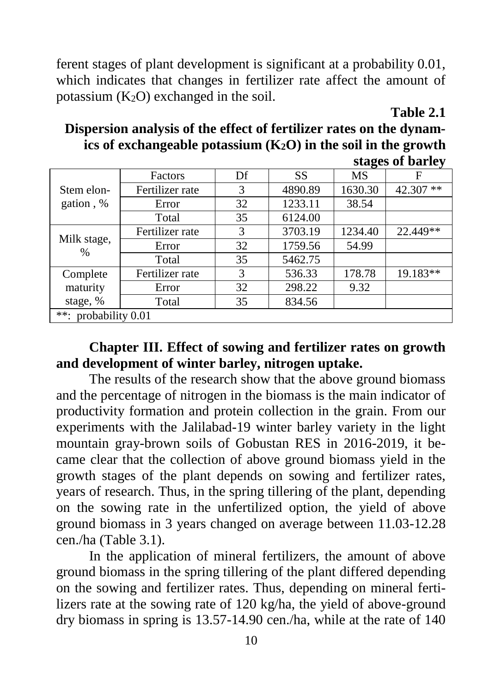ferent stages of plant development is significant at a probability 0.01, which indicates that changes in fertilizer rate affect the amount of potassium  $(K_2O)$  exchanged in the soil.

#### **Table 2.1**

**Dispersion analysis of the effect of fertilizer rates on the dynamics of exchangeable potassium (K2O) in the soil in the growth stages of barley**

|                              |                 |    |           |           | <b>Stages of Dafter</b> |  |
|------------------------------|-----------------|----|-----------|-----------|-------------------------|--|
|                              | Factors         | Df | <b>SS</b> | <b>MS</b> | F                       |  |
| Stem elon-                   | Fertilizer rate | 3  | 4890.89   | 1630.30   | $***$<br>42.307         |  |
| gation, %                    | Error           | 32 | 1233.11   | 38.54     |                         |  |
|                              | Total           | 35 | 6124.00   |           |                         |  |
| Milk stage,<br>$\frac{0}{0}$ | Fertilizer rate | 3  | 3703.19   | 1234.40   | 22.449**                |  |
|                              | Error           | 32 | 1759.56   | 54.99     |                         |  |
|                              | Total           | 35 | 5462.75   |           |                         |  |
| Complete                     | Fertilizer rate | 3  | 536.33    | 178.78    | 19.183**                |  |
| maturity                     | Error           | 32 | 298.22    | 9.32      |                         |  |
| stage, %                     | Total           | 35 | 834.56    |           |                         |  |
| $***$<br>probability 0.01    |                 |    |           |           |                         |  |

### **Chapter III. Effect of sowing and fertilizer rates on growth and development of winter barley, nitrogen uptake.**

The results of the research show that the above ground biomass and the percentage of nitrogen in the biomass is the main indicator of productivity formation and protein collection in the grain. From our experiments with the Jalilabad-19 winter barley variety in the light mountain gray-brown soils of Gobustan RES in 2016-2019, it became clear that the collection of above ground biomass yield in the growth stages of the plant depends on sowing and fertilizer rates, years of research. Thus, in the spring tillering of the plant, depending on the sowing rate in the unfertilized option, the yield of above ground biomass in 3 years changed on average between 11.03-12.28 cen./ha (Table 3.1).

In the application of mineral fertilizers, the amount of above ground biomass in the spring tillering of the plant differed depending on the sowing and fertilizer rates. Thus, depending on mineral fertilizers rate at the sowing rate of 120 kg/ha, the yield of above-ground dry biomass in spring is 13.57-14.90 cen./ha, while at the rate of 140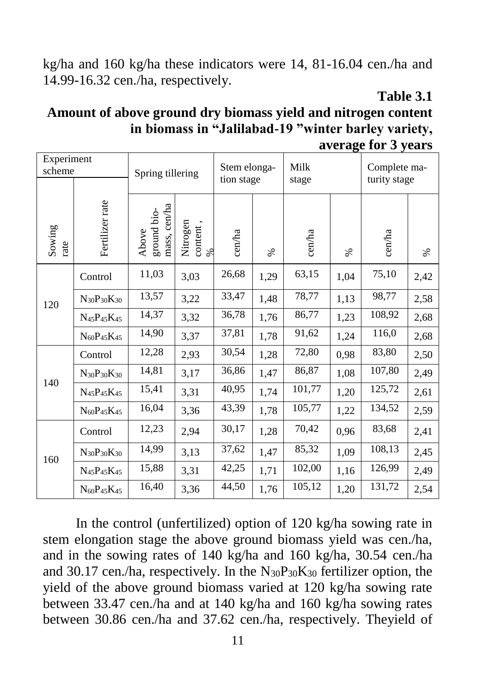kg/ha and 160 kg/ha these indicators were 14, 81-16.04 cen./ha and 14.99-16.32 cen./ha, respectively.

### **Table 3.1**

### **Amount of above ground dry biomass yield and nitrogen content in biomass in "Jalilabad-19 "winter barley variety, average for 3 years**

| Experiment<br>scheme |                                                 | Spring tillering                     |                          | Stem elonga-<br>tion stage |      | Milk<br>stage |      | Complete ma-<br>turity stage |      |
|----------------------|-------------------------------------------------|--------------------------------------|--------------------------|----------------------------|------|---------------|------|------------------------------|------|
| Sowing<br>rate       | Fertilizer rate                                 | mass, cen/ha<br>ground bio-<br>Above | Nitrogen<br>content<br>⊗ | cen/ha                     | $\%$ | cen/ha        | $\%$ | cen/ha                       | $\%$ |
|                      | Control                                         | 11,03                                | 3,03                     | 26,68                      | 1,29 | 63,15         | 1,04 | 75,10                        | 2,42 |
| 120                  | $N_{30}P_{30}K_{30}$                            | 13,57                                | 3,22                     | 33,47                      | 1,48 | 78,77         | 1,13 | 98,77                        | 2,58 |
|                      | $N_{45}P_{45}K_{45}$                            | 14,37                                | 3,32                     | 36,78                      | 1,76 | 86,77         | 1,23 | 108,92                       | 2,68 |
|                      | $N_{60}P_{45}K_{45}$                            | 14,90                                | 3,37                     | 37,81                      | 1,78 | 91,62         | 1,24 | 116,0                        | 2,68 |
|                      | Control                                         | 12,28                                | 2,93                     | 30,54                      | 1,28 | 72,80         | 0,98 | 83,80                        | 2,50 |
| 140                  | $N_{30}P_{30}K_{30}$                            | 14,81                                | 3,17                     | 36,86                      | 1,47 | 86,87         | 1,08 | 107,80                       | 2,49 |
|                      | N <sub>45</sub> P <sub>45</sub> K <sub>45</sub> | 15,41                                | 3,31                     | 40,95                      | 1,74 | 101,77        | 1,20 | 125,72                       | 2,61 |
|                      | $N_{60}P_{45}K_{45}$                            | 16,04                                | 3,36                     | 43,39                      | 1,78 | 105,77        | 1,22 | 134,52                       | 2,59 |
| 160                  | Control                                         | 12,23                                | 2,94                     | 30,17                      | 1,28 | 70,42         | 0,96 | 83,68                        | 2,41 |
|                      | $N_{30}P_{30}K_{30}$                            | 14,99                                | 3,13                     | 37,62                      | 1,47 | 85,32         | 1,09 | 108,13                       | 2,45 |
|                      | $N_{45}P_{45}K_{45}$                            | 15,88                                | 3,31                     | 42,25                      | 1,71 | 102,00        | 1,16 | 126,99                       | 2,49 |
|                      | $N_{60}P_{45}K_{45}$                            | 16,40                                | 3,36                     | 44,50                      | 1,76 | 105,12        | 1,20 | 131,72                       | 2,54 |

In the control (unfertilized) option of 120 kg/ha sowing rate in stem elongation stage the above ground biomass yield was cen./ha, and in the sowing rates of 140 kg/ha and 160 kg/ha, 30.54 cen./ha and 30.17 cen./ha, respectively. In the  $N_{30}P_{30}K_{30}$  fertilizer option, the yield of the above ground biomass varied at 120 kg/ha sowing rate between 33.47 cen./ha and at 140 kg/ha and 160 kg/ha sowing rates between 30.86 cen./ha and 37.62 cen./ha, respectively. Theyield of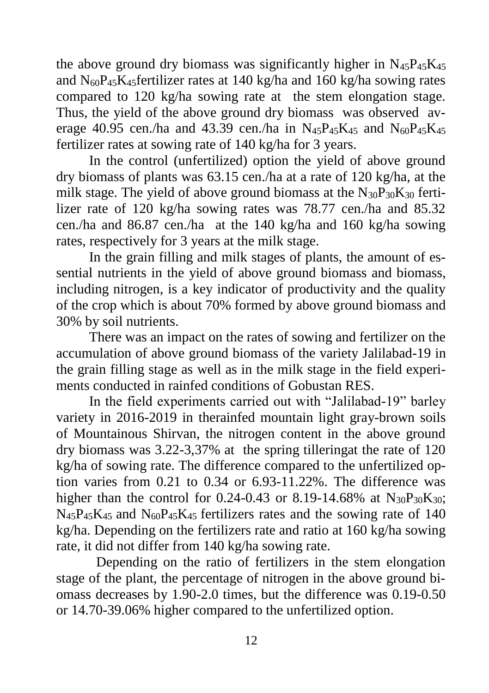the above ground dry biomass was significantly higher in  $N_{45}P_{45}K_{45}$ and  $N_{60}P_{45}K_{45}$  fertilizer rates at 140 kg/ha and 160 kg/ha sowing rates compared to 120 kg/ha sowing rate at the stem elongation stage. Thus, the yield of the above ground dry biomass was observed average 40.95 cen./ha and 43.39 cen./ha in  $N_{45}P_{45}K_{45}$  and  $N_{60}P_{45}K_{45}$ fertilizer rates at sowing rate of 140 kg/ha for 3 years.

In the control (unfertilized) option the yield of above ground dry biomass of plants was 63.15 cen./ha at a rate of 120 kg/ha, at the milk stage. The yield of above ground biomass at the  $N_{30}P_{30}K_{30}$  fertilizer rate of 120 kg/ha sowing rates was 78.77 cen./ha and 85.32 cen./ha and 86.87 cen./ha at the 140 kg/ha and 160 kg/ha sowing rates, respectively for 3 years at the milk stage.

In the grain filling and milk stages of plants, the amount of essential nutrients in the yield of above ground biomass and biomass, including nitrogen, is a key indicator of productivity and the quality of the crop which is about 70% formed by above ground biomass and 30% by soil nutrients.

There was an impact on the rates of sowing and fertilizer on the accumulation of above ground biomass of the variety Jalilabad-19 in the grain filling stage as well as in the milk stage in the field experiments conducted in rainfed conditions of Gobustan RES.

In the field experiments carried out with "Jalilabad-19" barley variety in 2016-2019 in therainfed mountain light gray-brown soils of Mountainous Shirvan, the nitrogen content in the above ground dry biomass was 3.22-3,37% at the spring tilleringat the rate of 120 kg/ha of sowing rate. The difference compared to the unfertilized option varies from 0.21 to 0.34 or 6.93-11.22%. The difference was higher than the control for 0.24-0.43 or 8.19-14.68% at  $N_{30}P_{30}K_{30}$ ;  $N_{45}P_{45}K_{45}$  and  $N_{60}P_{45}K_{45}$  fertilizers rates and the sowing rate of 140 kg/ha. Depending on the fertilizers rate and ratio at 160 kg/ha sowing rate, it did not differ from 140 kg/ha sowing rate.

 Depending on the ratio of fertilizers in the stem elongation stage of the plant, the percentage of nitrogen in the above ground biomass decreases by 1.90-2.0 times, but the difference was 0.19-0.50 or 14.70-39.06% higher compared to the unfertilized option.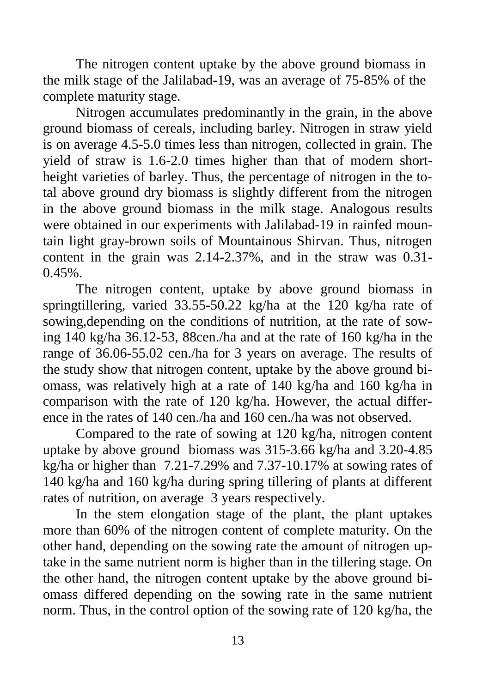The nitrogen content uptake by the above ground biomass in the milk stage of the Jalilabad-19, was an average of 75-85% of the complete maturity stage.

Nitrogen accumulates predominantly in the grain, in the above ground biomass of cereals, including barley. Nitrogen in straw yield is on average 4.5-5.0 times less than nitrogen, collected in grain. The yield of straw is 1.6-2.0 times higher than that of modern shortheight varieties of barley. Thus, the percentage of nitrogen in the total above ground dry biomass is slightly different from the nitrogen in the above ground biomass in the milk stage. Analogous results were obtained in our experiments with Jalilabad-19 in rainfed mountain light gray-brown soils of Mountainous Shirvan. Thus, nitrogen content in the grain was 2.14-2.37%, and in the straw was 0.31-  $0.45\%$ .

The nitrogen content, uptake by above ground biomass in springtillering, varied 33.55-50.22 kg/ha at the 120 kg/ha rate of sowing,depending on the conditions of nutrition, at the rate of sowing 140 kg/ha 36.12-53, 88cen./ha and at the rate of 160 kg/ha in the range of 36.06-55.02 cen./ha for 3 years on average. The results of the study show that nitrogen content, uptake by the above ground biomass, was relatively high at a rate of 140 kg/ha and 160 kg/ha in comparison with the rate of 120 kg/ha. However, the actual difference in the rates of 140 cen./ha and 160 cen./ha was not observed.

Compared to the rate of sowing at 120 kg/ha, nitrogen content uptake by above ground biomass was 315-3.66 kg/ha and 3.20-4.85 kg/ha or higher than 7.21-7.29% and 7.37-10.17% at sowing rates of 140 kg/ha and 160 kg/ha during spring tillering of plants at different rates of nutrition, on average 3 years respectively.

In the stem elongation stage of the plant, the plant uptakes more than 60% of the nitrogen content of complete maturity. On the other hand, depending on the sowing rate the amount of nitrogen uptake in the same nutrient norm is higher than in the tillering stage. On the other hand, the nitrogen content uptake by the above ground biomass differed depending on the sowing rate in the same nutrient norm. Thus, in the control option of the sowing rate of 120 kg/ha, the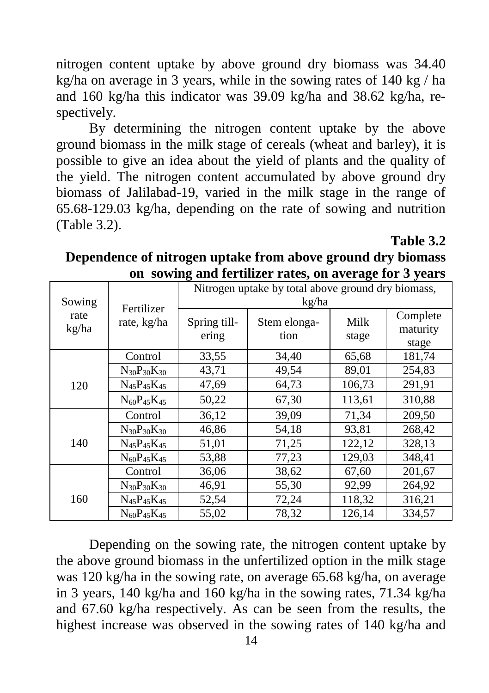nitrogen content uptake by above ground dry biomass was 34.40 kg/ha on average in 3 years, while in the sowing rates of 140 kg / ha and 160 kg/ha this indicator was 39.09 kg/ha and 38.62 kg/ha, respectively.

By determining the nitrogen content uptake by the above ground biomass in the milk stage of cereals (wheat and barley), it is possible to give an idea about the yield of plants and the quality of the yield. The nitrogen content accumulated by above ground dry biomass of Jalilabad-19, varied in the milk stage in the range of 65.68-129.03 kg/ha, depending on the rate of sowing and nutrition (Table 3.2).

**Table 3.2**

| on bowing and refuncer rates, on average for $\sigma$ years |                           |                                                             |                      |               |                               |  |  |
|-------------------------------------------------------------|---------------------------|-------------------------------------------------------------|----------------------|---------------|-------------------------------|--|--|
| Sowing                                                      | Fertilizer<br>rate, kg/ha | Nitrogen uptake by total above ground dry biomass,<br>kg/ha |                      |               |                               |  |  |
| rate<br>kg/ha                                               |                           | Spring till-<br>ering                                       | Stem elonga-<br>tion | Milk<br>stage | Complete<br>maturity<br>stage |  |  |
|                                                             | Control                   | 33,55                                                       | 34,40                | 65,68         | 181,74                        |  |  |
|                                                             | $N_{30}P_{30}K_{30}$      | 43,71                                                       | 49,54                | 89,01         | 254,83                        |  |  |
| 120                                                         | $N_{45}P_{45}K_{45}$      | 47,69                                                       | 64,73                | 106,73        | 291,91                        |  |  |
|                                                             | $N_{60}P_{45}K_{45}$      | 50,22                                                       | 67,30                | 113,61        | 310,88                        |  |  |
|                                                             | Control                   | 36,12                                                       | 39,09                | 71,34         | 209,50                        |  |  |
|                                                             | $N_{30}P_{30}K_{30}$      | 46,86                                                       | 54,18                | 93,81         | 268,42                        |  |  |
| 140                                                         | $N_{45}P_{45}K_{45}$      | 51,01                                                       | 71,25                | 122,12        | 328,13                        |  |  |
|                                                             | $N_{60}P_{45}K_{45}$      | 53,88                                                       | 77,23                | 129,03        | 348,41                        |  |  |
|                                                             | Control                   | 36,06                                                       | 38,62                | 67,60         | 201,67                        |  |  |
|                                                             | $N_{30}P_{30}K_{30}$      | 46,91                                                       | 55,30                | 92,99         | 264,92                        |  |  |
| 160                                                         | $N_{45}P_{45}K_{45}$      | 52,54                                                       | 72,24                | 118,32        | 316,21                        |  |  |
|                                                             | $N_{60}P_{45}K_{45}$      | 55,02                                                       | 78,32                | 126,14        | 334,57                        |  |  |

**Dependence of nitrogen uptake from above ground dry biomass on sowing and fertilizer rates, on average for 3 years**

Depending on the sowing rate, the nitrogen content uptake by the above ground biomass in the unfertilized option in the milk stage was 120 kg/ha in the sowing rate, on average 65.68 kg/ha, on average in 3 years, 140 kg/ha and 160 kg/ha in the sowing rates, 71.34 kg/ha and 67.60 kg/ha respectively. As can be seen from the results, the highest increase was observed in the sowing rates of 140 kg/ha and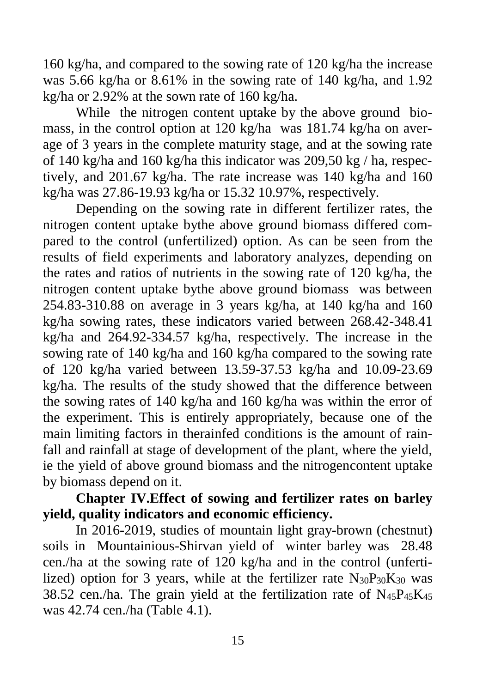160 kg/ha, and compared to the sowing rate of 120 kg/ha the increase was 5.66 kg/ha or 8.61% in the sowing rate of 140 kg/ha, and 1.92 kg/ha or 2.92% at the sown rate of 160 kg/ha.

While the nitrogen content uptake by the above ground biomass, in the control option at 120 kg/ha was 181.74 kg/ha on average of 3 years in the complete maturity stage, and at the sowing rate of 140 kg/ha and 160 kg/ha this indicator was 209,50 kg / ha, respectively, and 201.67 kg/ha. The rate increase was 140 kg/ha and 160 kg/ha was 27.86-19.93 kg/ha or 15.32 10.97%, respectively.

Depending on the sowing rate in different fertilizer rates, the nitrogen content uptake bythe above ground biomass differed compared to the control (unfertilized) option. As can be seen from the results of field experiments and laboratory analyzes, depending on the rates and ratios of nutrients in the sowing rate of 120 kg/ha, the nitrogen content uptake bythe above ground biomass was between 254.83-310.88 on average in 3 years kg/ha, at 140 kg/ha and 160 kg/ha sowing rates, these indicators varied between 268.42-348.41 kg/ha and 264.92-334.57 kg/ha, respectively. The increase in the sowing rate of 140 kg/ha and 160 kg/ha compared to the sowing rate of 120 kg/ha varied between 13.59-37.53 kg/ha and 10.09-23.69 kg/ha. The results of the study showed that the difference between the sowing rates of 140 kg/ha and 160 kg/ha was within the error of the experiment. This is entirely appropriately, because one of the main limiting factors in therainfed conditions is the amount of rainfall and rainfall at stage of development of the plant, where the yield, ie the yield of above ground biomass and the nitrogencontent uptake by biomass depend on it.

### **Chapter IV.Effect of sowing and fertilizer rates on barley yield, quality indicators and economic efficiency.**

In 2016-2019, studies of mountain light gray-brown (chestnut) soils in Mountainious-Shirvan yield of winter barley was 28.48 cen./ha at the sowing rate of 120 kg/ha and in the control (unfertilized) option for 3 years, while at the fertilizer rate  $N_{30}P_{30}K_{30}$  was 38.52 cen./ha. The grain yield at the fertilization rate of  $N_{45}P_{45}K_{45}$ was 42.74 cen./ha (Table 4.1).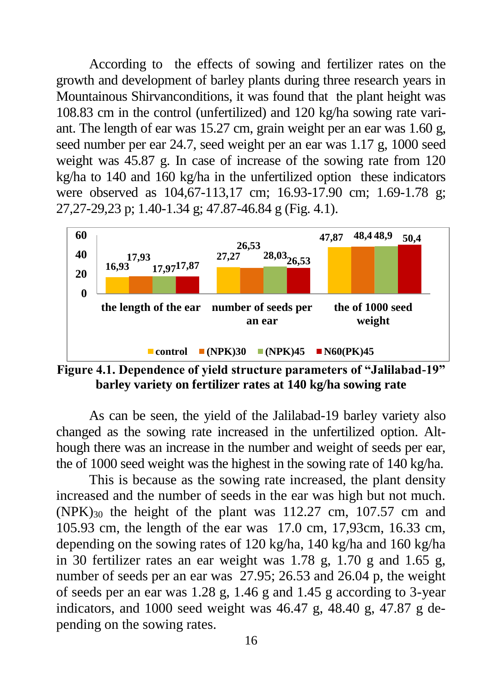According to the effects of sowing and fertilizer rates on the growth and development of barley plants during three research years in Mountainous Shirvanconditions, it was found that the plant height was 108.83 cm in the control (unfertilized) and 120 kg/ha sowing rate variant. The length of ear was 15.27 cm, grain weight per an ear was 1.60 g, seed number per ear 24.7, seed weight per an ear was 1.17 g, 1000 seed weight was 45.87 g. In case of increase of the sowing rate from 120 kg/ha to 140 and 160 kg/ha in the unfertilized option these indicators were observed as 104,67-113,17 cm; 16.93-17.90 cm; 1.69-1.78 g; 27,27-29,23 p; 1.40-1.34 g; 47.87-46.84 g (Fig. 4.1).



**Figure 4.1. Dependence of yield structure parameters of "Jalilabad-19" barley variety on fertilizer rates at 140 kg/ha sowing rate**

As can be seen, the yield of the Jalilabad-19 barley variety also changed as the sowing rate increased in the unfertilized option. Although there was an increase in the number and weight of seeds per ear, the of 1000 seed weight was the highest in the sowing rate of 140 kg/ha.

This is because as the sowing rate increased, the plant density increased and the number of seeds in the ear was high but not much.  $(NPK)_{30}$  the height of the plant was 112.27 cm, 107.57 cm and 105.93 cm, the length of the ear was 17.0 cm, 17,93cm, 16.33 cm, depending on the sowing rates of 120 kg/ha, 140 kg/ha and 160 kg/ha in 30 fertilizer rates an ear weight was 1.78 g, 1.70 g and 1.65 g, number of seeds per an ear was 27.95; 26.53 and 26.04 p, the weight of seeds per an ear was 1.28 g, 1.46 g and 1.45 g according to 3-year indicators, and 1000 seed weight was 46.47 g, 48.40 g, 47.87 g depending on the sowing rates.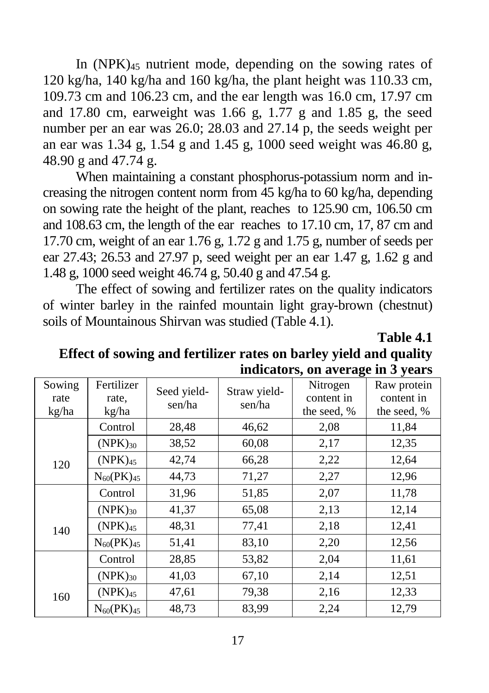In  $(NPK)_{45}$  nutrient mode, depending on the sowing rates of 120 kg/ha, 140 kg/ha and 160 kg/ha, the plant height was 110.33 cm, 109.73 cm and 106.23 cm, and the ear length was 16.0 cm, 17.97 cm and 17.80 cm, earweight was 1.66 g, 1.77 g and 1.85 g, the seed number per an ear was 26.0; 28.03 and 27.14 p, the seeds weight per an ear was 1.34 g, 1.54 g and 1.45 g, 1000 seed weight was 46.80 g, 48.90 g and 47.74 g.

When maintaining a constant phosphorus-potassium norm and increasing the nitrogen content norm from 45 kg/ha to 60 kg/ha, depending on sowing rate the height of the plant, reaches to 125.90 cm, 106.50 cm and 108.63 cm, the length of the ear reaches to 17.10 cm, 17, 87 cm and 17.70 cm, weight of an ear 1.76 g, 1.72 g and 1.75 g, number of seeds per ear 27.43; 26.53 and 27.97 p, seed weight per an ear 1.47 g, 1.62 g and 1.48 g, 1000 seed weight 46.74 g, 50.40 g and 47.54 g.

The effect of sowing and fertilizer rates on the quality indicators of winter barley in the rainfed mountain light gray-brown (chestnut) soils of Mountainous Shirvan was studied (Table 4.1).

**Table 4.1**

**Effect of sowing and fertilizer rates on barley yield and quality indicators, on average in 3 years**

| Sowing<br>rate<br>kg/ha | Fertilizer<br>rate.<br>kg/ha | Seed yield-<br>sen/ha | Straw yield-<br>sen/ha | Nitrogen<br>content in<br>the seed, % | Raw protein<br>content in<br>the seed, % |
|-------------------------|------------------------------|-----------------------|------------------------|---------------------------------------|------------------------------------------|
|                         | Control                      | 28,48                 | 46,62                  | 2,08                                  | 11,84                                    |
|                         | $(NPK)_{30}$                 | 38,52                 | 60,08                  | 2,17                                  | 12,35                                    |
| 120                     | $(NPK)_{45}$                 | 42,74                 | 66,28                  | 2,22                                  | 12,64                                    |
|                         | $N_{60}(PK)_{45}$            | 44,73                 | 71,27                  | 2,27                                  | 12,96                                    |
|                         | Control                      | 31,96                 | 51,85                  | 2,07                                  | 11,78                                    |
|                         | $(NPK)_{30}$                 | 41,37                 | 65,08                  | 2,13                                  | 12,14                                    |
| 140                     | $(NPK)_{45}$                 | 48,31                 | 77,41                  | 2,18                                  | 12,41                                    |
|                         | $N_{60}(PK)_{45}$            | 51,41                 | 83,10                  | 2,20                                  | 12,56                                    |
|                         | Control                      | 28,85                 | 53,82                  | 2,04                                  | 11,61                                    |
|                         | $(NPK)_{30}$                 | 41,03                 | 67,10                  | 2,14                                  | 12,51                                    |
| 160                     | $(NPK)_{45}$                 | 47,61                 | 79,38                  | 2,16                                  | 12,33                                    |
|                         | $N_{60}(PK)_{45}$            | 48,73                 | 83,99                  | 2,24                                  | 12,79                                    |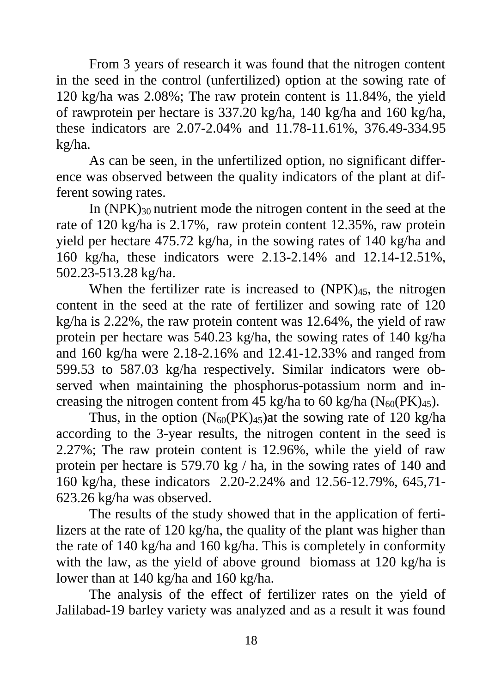From 3 years of research it was found that the nitrogen content in the seed in the control (unfertilized) option at the sowing rate of 120 kg/ha was 2.08%; The raw protein content is 11.84%, the yield of rawprotein per hectare is 337.20 kg/ha, 140 kg/ha and 160 kg/ha, these indicators are 2.07-2.04% and 11.78-11.61%, 376.49-334.95 kg/ha.

As can be seen, in the unfertilized option, no significant difference was observed between the quality indicators of the plant at different sowing rates.

In (NPK)<sup>30</sup> nutrient mode the nitrogen content in the seed at the rate of 120 kg/ha is 2.17%, raw protein content 12.35%, raw protein yield per hectare 475.72 kg/ha, in the sowing rates of 140 kg/ha and 160 kg/ha, these indicators were 2.13-2.14% and 12.14-12.51%, 502.23-513.28 kg/ha.

When the fertilizer rate is increased to  $(NPK)_{45}$ , the nitrogen content in the seed at the rate of fertilizer and sowing rate of 120 kg/ha is 2.22%, the raw protein content was 12.64%, the yield of raw protein per hectare was 540.23 kg/ha, the sowing rates of 140 kg/ha and 160 kg/ha were 2.18-2.16% and 12.41-12.33% and ranged from 599.53 to 587.03 kg/ha respectively. Similar indicators were observed when maintaining the phosphorus-potassium norm and increasing the nitrogen content from 45 kg/ha to 60 kg/ha  $(N_{60}(PK)_{45})$ .

Thus, in the option  $(N_{60}(PK)_{45})$ at the sowing rate of 120 kg/ha according to the 3-year results, the nitrogen content in the seed is 2.27%; The raw protein content is 12.96%, while the yield of raw protein per hectare is 579.70 kg / ha, in the sowing rates of 140 and 160 kg/ha, these indicators 2.20-2.24% and 12.56-12.79%, 645,71- 623.26 kg/ha was observed.

The results of the study showed that in the application of fertilizers at the rate of 120 kg/ha, the quality of the plant was higher than the rate of 140 kg/ha and 160 kg/ha. This is completely in conformity with the law, as the yield of above ground biomass at 120 kg/ha is lower than at 140 kg/ha and 160 kg/ha.

The analysis of the effect of fertilizer rates on the yield of Jalilabad-19 barley variety was analyzed and as a result it was found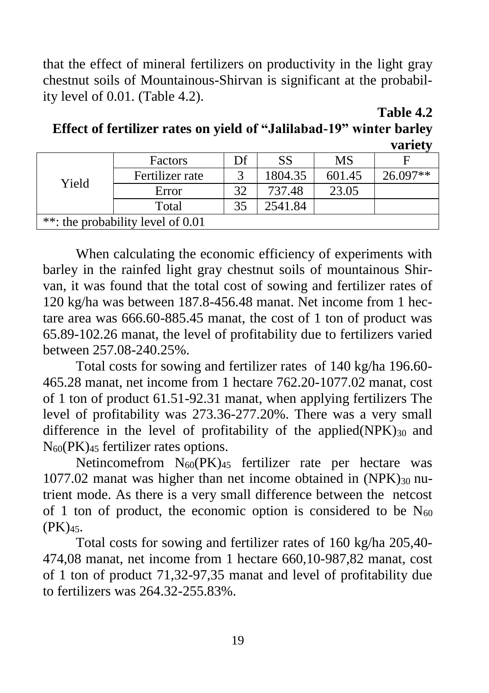that the effect of mineral fertilizers on productivity in the light gray chestnut soils of Mountainous-Shirvan is significant at the probability level of 0.01. (Table 4.2).

**Table 4.2**

| Effect of fertilizer rates on yield of "Jalilabad-19" winter barley |  |         |
|---------------------------------------------------------------------|--|---------|
|                                                                     |  | variety |

| Yield                             | Factors         | Df | SS      | MS     |          |
|-----------------------------------|-----------------|----|---------|--------|----------|
|                                   | Fertilizer rate |    | 1804.35 | 601.45 | 26.097** |
|                                   | Error           | 32 | 737.48  | 23.05  |          |
|                                   | Total           | 35 | 2541.84 |        |          |
| **: the probability level of 0.01 |                 |    |         |        |          |

When calculating the economic efficiency of experiments with barley in the rainfed light gray chestnut soils of mountainous Shirvan, it was found that the total cost of sowing and fertilizer rates of 120 kg/ha was between 187.8-456.48 manat. Net income from 1 hectare area was 666.60-885.45 manat, the cost of 1 ton of product was 65.89-102.26 manat, the level of profitability due to fertilizers varied between 257.08-240.25%.

Total costs for sowing and fertilizer rates of 140 kg/ha 196.60- 465.28 manat, net income from 1 hectare 762.20-1077.02 manat, cost of 1 ton of product 61.51-92.31 manat, when applying fertilizers The level of profitability was 273.36-277.20%. There was a very small difference in the level of profitability of the applied( $NPK$ )<sub>30</sub> and N60(PK)<sup>45</sup> fertilizer rates options.

Netincomefrom N60(PK)<sup>45</sup> fertilizer rate per hectare was 1077.02 manat was higher than net income obtained in  $(NPK)_{30}$  nutrient mode. As there is a very small difference between the netcost of 1 ton of product, the economic option is considered to be  $N_{60}$ (PK)45.

Total costs for sowing and fertilizer rates of 160 kg/ha 205,40- 474,08 manat, net income from 1 hectare 660,10-987,82 manat, cost of 1 ton of product 71,32-97,35 manat and level of profitability due to fertilizers was 264.32-255.83%.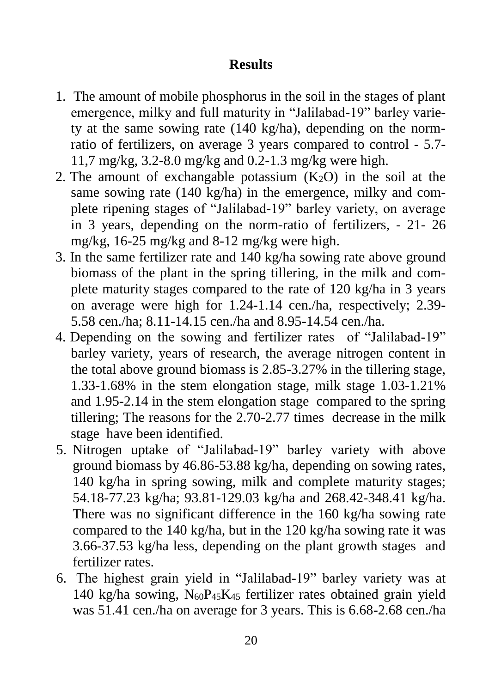### **Results**

- 1. The amount of mobile phosphorus in the soil in the stages of plant emergence, milky and full maturity in "Jalilabad-19" barley variety at the same sowing rate (140 kg/ha), depending on the normratio of fertilizers, on average 3 years compared to control - 5.7- 11,7 mg/kg, 3.2-8.0 mg/kg and 0.2-1.3 mg/kg were high.
- 2. The amount of exchangable potassium  $(K_2O)$  in the soil at the same sowing rate (140 kg/ha) in the emergence, milky and complete ripening stages of "Jalilabad-19" barley variety, on average in 3 years, depending on the norm-ratio of fertilizers, - 21- 26 mg/kg, 16-25 mg/kg and 8-12 mg/kg were high.
- 3. In the same fertilizer rate and 140 kg/ha sowing rate above ground biomass of the plant in the spring tillering, in the milk and complete maturity stages compared to the rate of 120 kg/ha in 3 years on average were high for 1.24-1.14 cen./ha, respectively; 2.39- 5.58 cen./ha; 8.11-14.15 cen./ha and 8.95-14.54 cen./ha.
- 4. Depending on the sowing and fertilizer rates of "Jalilabad-19" barley variety, years of research, the average nitrogen content in the total above ground biomass is 2.85-3.27% in the tillering stage, 1.33-1.68% in the stem elongation stage, milk stage 1.03-1.21% and 1.95-2.14 in the stem elongation stage compared to the spring tillering; The reasons for the 2.70-2.77 times decrease in the milk stage have been identified.
- 5. Nitrogen uptake of "Jalilabad-19" barley variety with above ground biomass by 46.86-53.88 kg/ha, depending on sowing rates, 140 kg/ha in spring sowing, milk and complete maturity stages; 54.18-77.23 kg/ha; 93.81-129.03 kg/ha and 268.42-348.41 kg/ha. There was no significant difference in the 160 kg/ha sowing rate compared to the 140 kg/ha, but in the 120 kg/ha sowing rate it was 3.66-37.53 kg/ha less, depending on the plant growth stages and fertilizer rates.
- 6. The highest grain yield in "Jalilabad-19" barley variety was at 140 kg/ha sowing,  $N_{60}P_{45}K_{45}$  fertilizer rates obtained grain yield was 51.41 cen./ha on average for 3 years. This is 6.68-2.68 cen./ha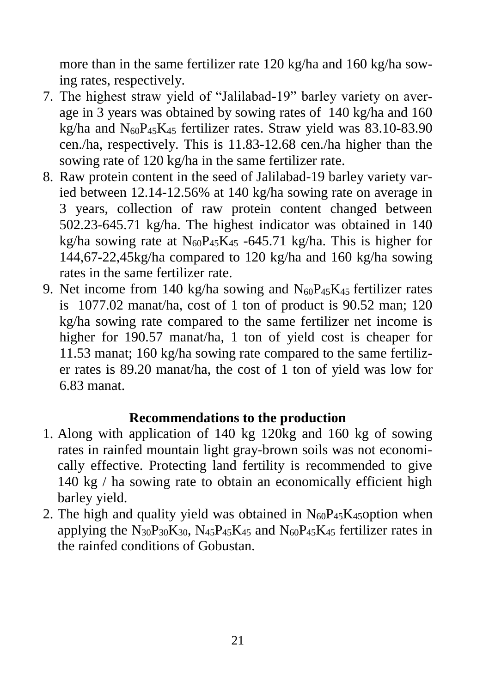more than in the same fertilizer rate 120 kg/ha and 160 kg/ha sowing rates, respectively.

- 7. The highest straw yield of "Jalilabad-19" barley variety on average in 3 years was obtained by sowing rates of 140 kg/ha and 160 kg/ha and  $N_{60}P_{45}K_{45}$  fertilizer rates. Straw yield was 83.10-83.90 cen./ha, respectively. This is 11.83-12.68 cen./ha higher than the sowing rate of 120 kg/ha in the same fertilizer rate.
- 8. Raw protein content in the seed of Jalilabad-19 barley variety varied between 12.14-12.56% at 140 kg/ha sowing rate on average in 3 years, collection of raw protein content changed between 502.23-645.71 kg/ha. The highest indicator was obtained in 140 kg/ha sowing rate at  $N_{60}P_{45}K_{45}$  -645.71 kg/ha. This is higher for 144,67-22,45kg/ha compared to 120 kg/ha and 160 kg/ha sowing rates in the same fertilizer rate.
- 9. Net income from 140 kg/ha sowing and  $N_{60}P_{45}K_{45}$  fertilizer rates is 1077.02 manat/ha, cost of 1 ton of product is 90.52 man; 120 kg/ha sowing rate compared to the same fertilizer net income is higher for 190.57 manat/ha, 1 ton of yield cost is cheaper for 11.53 manat; 160 kg/ha sowing rate compared to the same fertilizer rates is 89.20 manat/ha, the cost of 1 ton of yield was low for 6.83 manat.

### **Recommendations to the production**

- 1. Along with application of 140 kg 120kg and 160 kg of sowing rates in rainfed mountain light gray-brown soils was not economically effective. Protecting land fertility is recommended to give 140 kg / ha sowing rate to obtain an economically efficient high barley yield.
- 2. The high and quality yield was obtained in  $N_{60}P_{45}K_{45}$  option when applying the  $N_{30}P_{30}K_{30}$ ,  $N_{45}P_{45}K_{45}$  and  $N_{60}P_{45}K_{45}$  fertilizer rates in the rainfed conditions of Gobustan.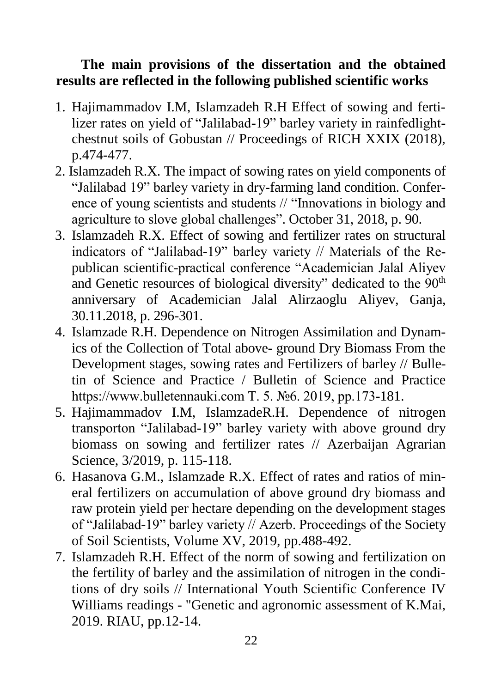### **The main provisions of the dissertation and the obtained results are reflected in the following published scientific works**

- 1. Hajimammadov I.M, Islamzadeh R.H Effect of sowing and fertilizer rates on yield of "Jalilabad-19" barley variety in rainfedlightchestnut soils of Gobustan // Proceedings of RICH XXIX (2018), p.474-477.
- 2. Islamzadeh R.X. The impact of sowing rates on yield components of "Jalilabad 19" barley variety in dry-farming land condition. Conference of young scientists and students // "Innovations in biology and agriculture to slove global challenges". October 31, 2018, p. 90.
- 3. Islamzadeh R.X. Effect of sowing and fertilizer rates on structural indicators of "Jalilabad-19" barley variety // Materials of the Republican scientific-practical conference "Academician Jalal Aliyev and Genetic resources of biological diversity" dedicated to the 90<sup>th</sup> anniversary of Academician Jalal Alirzaoglu Aliyev, Ganja, 30.11.2018, p. 296-301.
- 4. Islamzade R.H. Dependence on Nitrogen Assimilation and Dynamics of the Collection of Total above- ground Dry Biomass From the Development stages, sowing rates and Fertilizers of barley // Bulletin of Science and Practice / Bulletin of Science and Practice https://www.bulletennauki.com Т. 5. №6. 2019, pp.173-181.
- 5. Hajimammadov I.M, IslamzadeR.H. Dependence of nitrogen transporton "Jalilabad-19" barley variety with above ground dry biomass on sowing and fertilizer rates // Azerbaijan Agrarian Science, 3/2019, p. 115-118.
- 6. Hasanova G.M., Islamzade R.X. Effect of rates and ratios of mineral fertilizers on accumulation of above ground dry biomass and raw protein yield per hectare depending on the development stages of "Jalilabad-19" barley variety // Azerb. Proceedings of the Society of Soil Scientists, Volume XV, 2019, pp.488-492.
- 7. Islamzadeh R.H. Effect of the norm of sowing and fertilization on the fertility of barley and the assimilation of nitrogen in the conditions of dry soils // International Youth Scientific Conference IV Williams readings - "Genetic and agronomic assessment of K.Mai, 2019. RIAU, pp.12-14.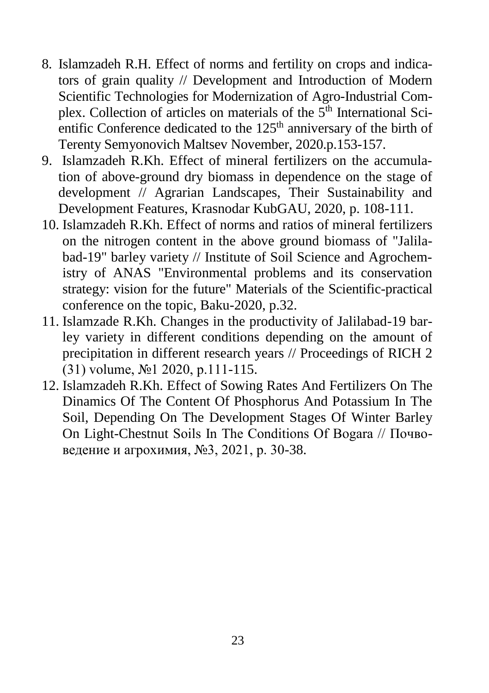- 8. Islamzadeh R.H. Effect of norms and fertility on crops and indicators of grain quality // Development and Introduction of Modern Scientific Technologies for Modernization of Agro-Industrial Complex. Collection of articles on materials of the  $5<sup>th</sup>$  International Scientific Conference dedicated to the  $125<sup>th</sup>$  anniversary of the birth of Terenty Semyonovich Maltsev November, 2020.p.153-157.
- 9. Islamzadeh R.Kh. Effect of mineral fertilizers on the accumulation of above-ground dry biomass in dependence on the stage of development // Agrarian Landscapes, Their Sustainability and Development Features, Krasnodar KubGAU, 2020, p. 108-111.
- 10. Islamzadeh R.Kh. Effect of norms and ratios of mineral fertilizers on the nitrogen content in the above ground biomass of "Jalilabad-19" barley variety // Institute of Soil Science and Agrochemistry of ANAS "Environmental problems and its conservation strategy: vision for the future" Materials of the Scientific-practical conference on the topic, Baku-2020, p.32.
- 11. Islamzade R.Kh. Changes in the productivity of Jalilabad-19 barley variety in different conditions depending on the amount of precipitation in different research years // Proceedings of RICH 2 (31) volume, №1 2020, p.111-115.
- 12. Islamzadeh R.Kh. Effect of Sowing Rates And Fertilizers On The Dinamics Of The Content Of Phosphorus And Potassium In The Soil, Depending On The Development Stages Of Winter Barley On Light-Chestnut Soils In The Conditions Of Bogara // Почвоведение и агрохимия, №3, 2021, p. 30-38.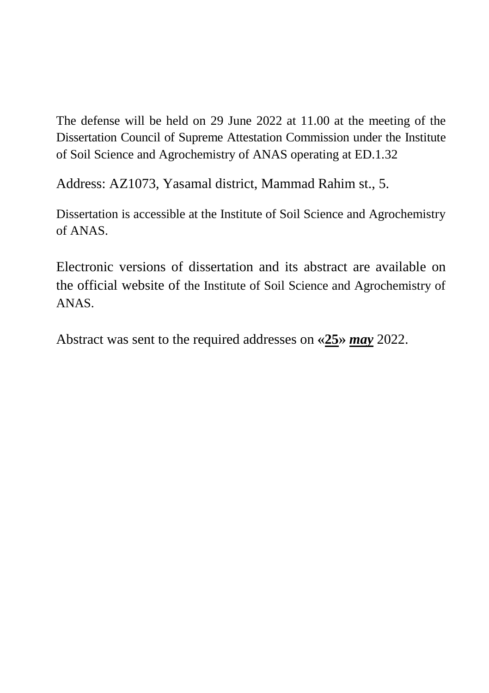The defense will be held on 29 June 2022 at 11.00 at the meeting of the Dissertation Council of Supreme Attestation Commission under the Institute of Soil Science and Agrochemistry of ANAS operating at ED.1.32

Address: AZ1073, Yasamal district, Mammad Rahim st., 5.

Dissertation is accessible at the Institute of Soil Science and Agrochemistry of ANAS.

Electronic versions of dissertation and its abstract are available on the official website of the Institute of Soil Science and Agrochemistry of ANAS.

Abstract was sent to the required addresses on **«25»** *may* 2022.